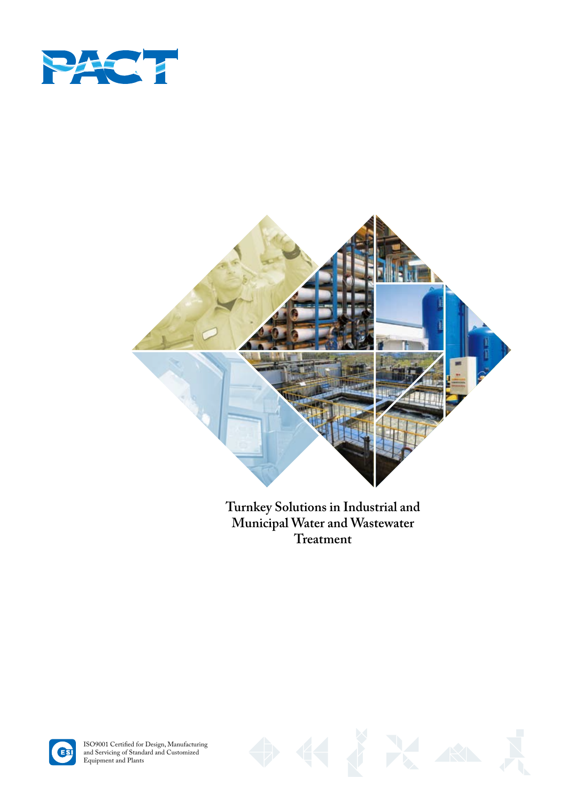



**Turnkey Solutions in Industrial and Municipal Water and Wastewater Treatment**



ISO9001 Certified for Design, Manufacturing and Servicing of Standard and Customized Equipment and Plants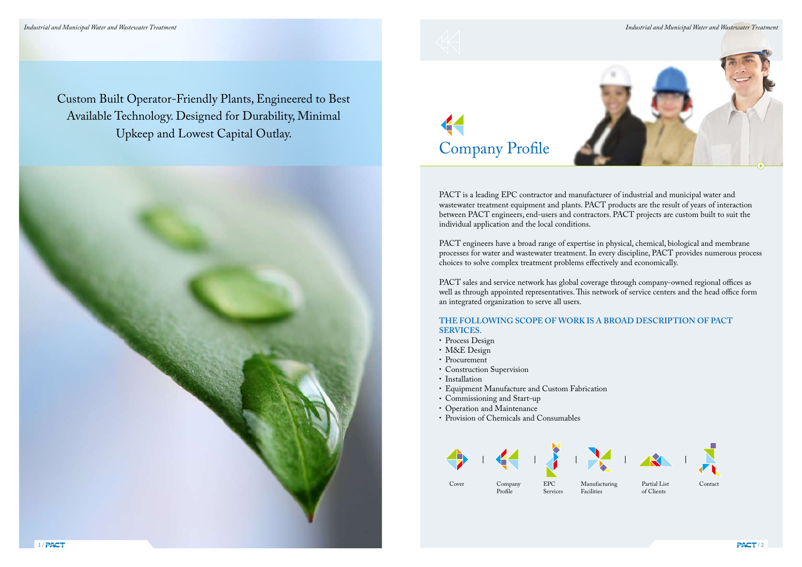Custom Built Operator-Friendly Plants, Engineered to Best Available Technology. Designed for Durability, Minimal Upkeep and Lowest Capital Outlay.

> PACT is a leading EPC contractor and manufacturer of industrial and municipal water and wastewater treatment equipment and plants. PACT products are the result of years of interaction between PACT engineers, end-users and contractors. PACT projects are custom built to suit the individual application and the local conditions.

PACT engineers have a broad range of expertise in physical, chemical, biological and membrane processes for water and wastewater treatment. In every discipline, PACT provides numerous process choices to solve complex treatment problems effectively and economically.

PACT sales and service network has global coverage through company-owned regional offices as well as through appointed representatives. This network of service centers and the head office form an integrated organization to serve all users.

# **THE FOLLOWING SCOPE OF WORK IS A BROAD DESCRIPTION OF PACT SERVICES.**

- Process Design
- M&E Design
- Procurement
- Construction Supervision
- Installation
- Equipment Manufacture and Custom Fabrication
- Commissioning and Start-up
- Operation and Maintenance
- Provision of Chemicals and Consumables









Profile

Company Cover EPC

Services

Manufacturing Facilities

Partial List of Clients





*Industrial and Municipal Water and Wastewater Treatment Industrial and Municipal Water and Wastewater Treatment*





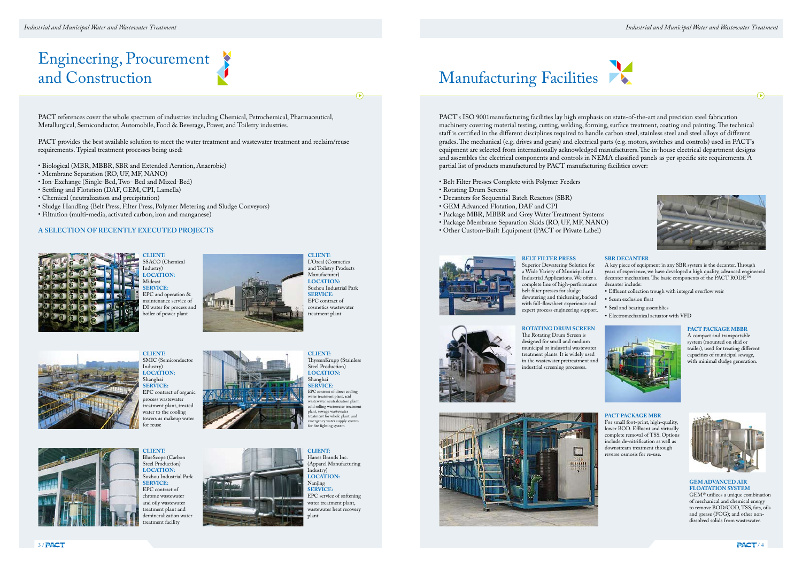# Engineering, Procurement<br>and Construction

PACT references cover the whole spectrum of industries including Chemical, Petrochemical, Pharmaceutical, Metallurgical, Semiconductor, Automobile, Food & Beverage, Power, and Toiletry industries.

PACT provides the best available solution to meet the water treatment and wastewater treatment and reclaim/reuse requirements. Typical treatment processes being used:

- Biological (MBR, MBBR, SBR and Extended Aeration, Anaerobic)
- Membrane Separation (RO, UF, MF, NANO)
- Ion-Exchange (Single-Bed, Two- Bed and Mixed-Bed)
- Settling and Flotation (DAF, GEM, CPI, Lamella)
- Chemical (neutralization and precipitation)
- Sludge Handling (Belt Press, Filter Press, Polymer Metering and Sludge Conveyors)
- Filtration (multi-media, activated carbon, iron and manganese)

## **A SELECTION OF RECENTLY EXECUTED PROJECTS**



**CLIENT:** SSACO (Chemical Industry) **LOCATION:** Mideast **SERVICE:** EPC and operation & maintenance service of DI water for process and boiler of power plant



**CLIENT:**  SMIC (Semiconductor Industry) **LOCATION:**  Shanghai **SERVICE:**  EPC contract of organic process wastewater treatment plant, treated water to the cooling towers as makeup wate for reuse





**CLIENT:**  BlueScope (Carbon Steel Production) **LOCATION:** Suzhou Industrial Park **SERVICE:** EPC contract of chrome wastewater and oily wastewater treatment plant and demineralization water treatment facility





L'Oreal (Cosmetics and Toiletry Products Manufacturer) **LOCATION:**  Suzhou Industrial Park **SERVICE:**  EPC contract of cosmetics wastewater treatment plant

**CLIENT:**  ThyssenKrupp (Stainless Steel Production) **LOCATION:** Shanghai **SERVICE:**  EPC contract of direct cooling water treatment plant, acid wastewater neutralization plant, cold rolling wastewater treatment plant, sewage wastewater treatment for whole plant, and emergency water supply system for fire fighting system

**CLIENT:**  Hanes Brands Inc. (Apparel Manufacturing Industry) **LOCATION:** Nanjing **SERVICE:**  EPC service of softening water treatment plant, wastewater heat recovery plant

# Manufacturing Facilities

PACT's ISO 9001manufacturing facilities lay high emphasis on state-of-the-art and precision steel fabrication machinery covering material testing, cutting, welding, forming, surface treatment, coating and painting. The technical staff is certified in the different disciplines required to handle carbon steel, stainless steel and steel alloys of different grades. The mechanical (e.g. drives and gears) and electrical parts (e.g. motors, switches and controls) used in PACT's equipment are selected from internationally acknowledged manufacturers. The in-house electrical department designs and assembles the electrical components and controls in NEMA classified panels as per specific site requirements. A partial list of products manufactured by PACT manufacturing facilities cover:

- Belt Filter Presses Complete with Polymer Feeders
- Rotating Drum Screens
- Decanters for Sequential Batch Reactors (SBR)
- GEM Advanced Flotation, DAF and CPI
- Package MBR, MBBR and Grey Water Treatment Systems
- Package Membrane Separation Skids (RO, UF, MF, NANO)
- Other Custom-Built Equipment (PACT or Private Label)



### **BELT FILTER PRESS** Superior Dewatering Solution for a Wide Variety of Municipal and Industrial Applications. We offer a complete line of high-performance belt filter presses for sludge

dewatering and thickening, backed with full-flowsheet experience and expert process engineering support.



#### **ROTATING DRUM SCREEN**  The Rotating Drum Screen is designed for small and medium municipal or industrial wastewater treatment plants. It is widely used in the wastewater pretreatment and industrial screening processes.



#### **PACT PACKAGE MBR**

For small foot-print, high-quality, lower BOD. Effluent and virtually complete removal of TSS. Options include de-nitrification as well as downstream treatment through reverse osmosis for re-use.



#### **SBR DECANTER**

A key piece of equipment in any SBR system is the decanter. Through years of experience, we have developed a high quality, advanced engineered decanter mechanism. The basic components of the PACT RODE™ decanter include:

- Effluent collection trough with integral overflow weir
- Scum exclusion float
- Seal and bearing assemblies
- Electromechanical actuator with VFD



#### **PACT PACKAGE MBBR**

A compact and transportable system (mounted on skid or trailer), used for treating different capacities of municipal sewage, with minimal sludge generation.

### **GEM ADVANCED AIR FLOATATION SYSTEM**

GEM® utilizes a unique combination of mechanical and chemical energy to remove BOD/COD, TSS, fats, oils and grease (FOG); and other nondissolved solids from wastewater.





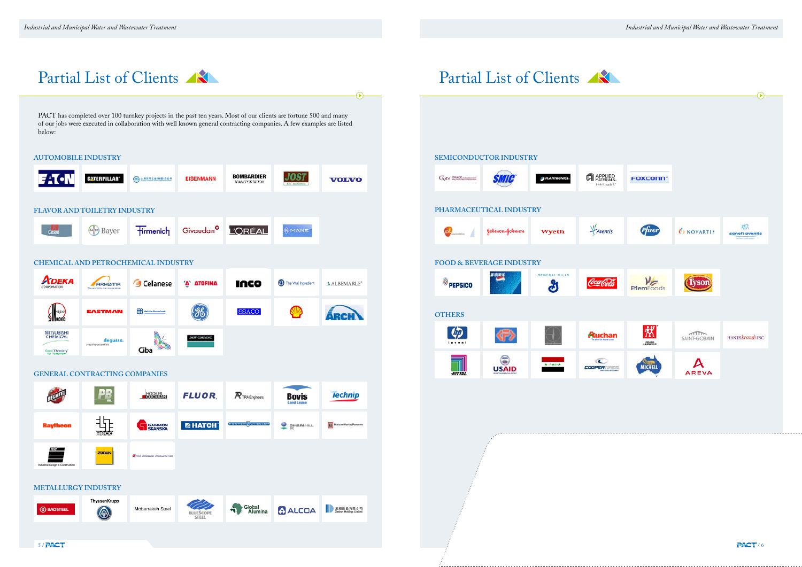





|                           |                                        | Partial List of Clients                                                                                                                                                                                                                 |                           |                                            |                            | $\bigodot$                    |
|---------------------------|----------------------------------------|-----------------------------------------------------------------------------------------------------------------------------------------------------------------------------------------------------------------------------------------|---------------------------|--------------------------------------------|----------------------------|-------------------------------|
| below:                    |                                        | PACT has completed over 100 turnkey projects in the past ten years. Most of our clients are fortune 500 and many<br>of our jobs were executed in collaboration with well known general contracting companies. A few examples are listed |                           |                                            |                            |                               |
|                           | <b>UTOMOBILE INDUSTRY</b>              |                                                                                                                                                                                                                                         |                           |                                            |                            |                               |
| <b>FATON</b>              | <b>CATERPILLAR</b> *                   | $\odot$ canssemance                                                                                                                                                                                                                     | <b>EISENMANN</b>          | <b>BOMBARDIER</b><br><b>TRANSPORTATION</b> | <b>JOST</b>                | <b>VOLVO</b>                  |
|                           | <b>LAVOR AND TOILETRY INDUSTRY</b>     |                                                                                                                                                                                                                                         |                           |                                            |                            |                               |
| Cussons                   | Bayer                                  | <b>Tirmenich</b>                                                                                                                                                                                                                        | Givaudan <sup>o</sup>     | <b>L'ORÉAL</b>                             | <b>WANE</b>                |                               |
|                           |                                        | HEMICAL AND PETROCHEMICAL INDUSTRY                                                                                                                                                                                                      |                           |                                            |                            |                               |
| Арека<br>CORPORATION      | ARKema<br>The world is our inspiration | G Celanese                                                                                                                                                                                                                              | <b>A ATOFINA</b>          | IUCO                                       | The Vital Ingredient       | AALBEMARLE <sup>*</sup>       |
| $\sum_{\text{none}}$      | <b>EASTMAN</b>                         | <b>EEE</b> Raisia Chemicals                                                                                                                                                                                                             | (36)                      | <b>SSACO</b>                               |                            | <b>ARCH</b>                   |
| MITSUBISHI<br>CHEMICAL    | degussa.<br>creating essentials        |                                                                                                                                                                                                                                         | DOW CORNING               |                                            |                            |                               |
| Good Chemistry            |                                        | Ciba                                                                                                                                                                                                                                    |                           |                                            |                            |                               |
|                           | ENERAL CONTRACTING COMPANIES           | <b>HOOKER</b>                                                                                                                                                                                                                           | FLUOR.                    | $\boldsymbol{\mathcal{R}}$ TRA Engineers   | <b>Bovis</b><br>Lend Lease | <b>Technip</b>                |
|                           |                                        |                                                                                                                                                                                                                                         |                           | <b>FOSTER WHEELER</b>                      |                            |                               |
| <b>Raytheon</b>           | $\frac{1}{100}$                        | <b>GAMMON</b><br>SKANSKA                                                                                                                                                                                                                | <b>E HATCH</b>            |                                            | $\frac{Q}{2}$ GH2MHILL     | <b>El MaisenWerleyParsons</b> |
| thal Design & Constructio | ZUBLIN                                 | Con Estatement Constantin travel                                                                                                                                                                                                        |                           |                                            |                            |                               |
|                           | <b>IETALLURGY INDUSTRY</b>             |                                                                                                                                                                                                                                         |                           |                                            |                            |                               |
| <b>BAOSTEEL</b>           | ThyssenKrupp<br>⊛                      | Mobarrakeh Steel                                                                                                                                                                                                                        | BLUESCOPE<br><b>STEEL</b> | Global<br>Alumina                          | <b>CALCOA</b>              | <b>图解检验有限公司</b>               |
| 5/PACT                    |                                        |                                                                                                                                                                                                                                         |                           |                                            |                            |                               |
|                           |                                        |                                                                                                                                                                                                                                         |                           |                                            |                            |                               |